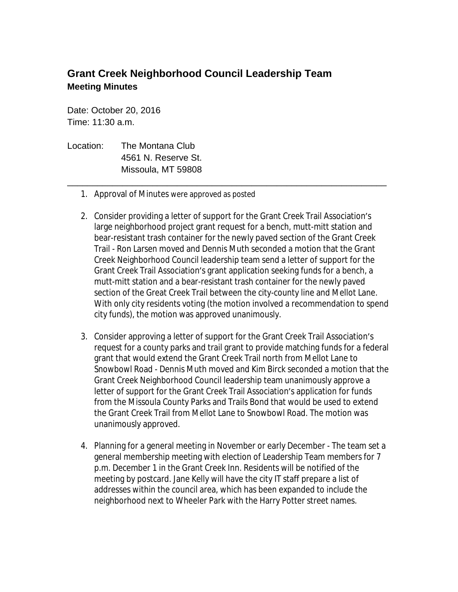## **Grant Creek Neighborhood Council Leadership Team Meeting Minutes**

Date: October 20, 2016 Time: 11:30 a.m.

- Location: The Montana Club 4561 N. Reserve St. Missoula, MT 59808
	- 1. Approval of Minutes were approved as posted
	- 2. Consider providing a letter of support for the Grant Creek Trail Association's large neighborhood project grant request for a bench, mutt-mitt station and bear-resistant trash container for the newly paved section of the Grant Creek Trail - Ron Larsen moved and Dennis Muth seconded a motion that the Grant Creek Neighborhood Council leadership team send a letter of support for the Grant Creek Trail Association's grant application seeking funds for a bench, a mutt-mitt station and a bear-resistant trash container for the newly paved section of the Great Creek Trail between the city-county line and Mellot Lane. With only city residents voting (the motion involved a recommendation to spend city funds), the motion was approved unanimously.

\_\_\_\_\_\_\_\_\_\_\_\_\_\_\_\_\_\_\_\_\_\_\_\_\_\_\_\_\_\_\_\_\_\_\_\_\_\_\_\_\_\_\_\_\_\_\_\_\_\_\_\_\_\_\_\_\_\_\_\_\_\_\_\_

- 3. Consider approving a letter of support for the Grant Creek Trail Association's request for a county parks and trail grant to provide matching funds for a federal grant that would extend the Grant Creek Trail north from Mellot Lane to Snowbowl Road - Dennis Muth moved and Kim Birck seconded a motion that the Grant Creek Neighborhood Council leadership team unanimously approve a letter of support for the Grant Creek Trail Association's application for funds from the Missoula County Parks and Trails Bond that would be used to extend the Grant Creek Trail from Mellot Lane to Snowbowl Road. The motion was unanimously approved.
- 4. Planning for a general meeting in November or early December The team set a general membership meeting with election of Leadership Team members for 7 p.m. December 1 in the Grant Creek Inn. Residents will be notified of the meeting by postcard. Jane Kelly will have the city IT staff prepare a list of addresses within the council area, which has been expanded to include the neighborhood next to Wheeler Park with the Harry Potter street names.